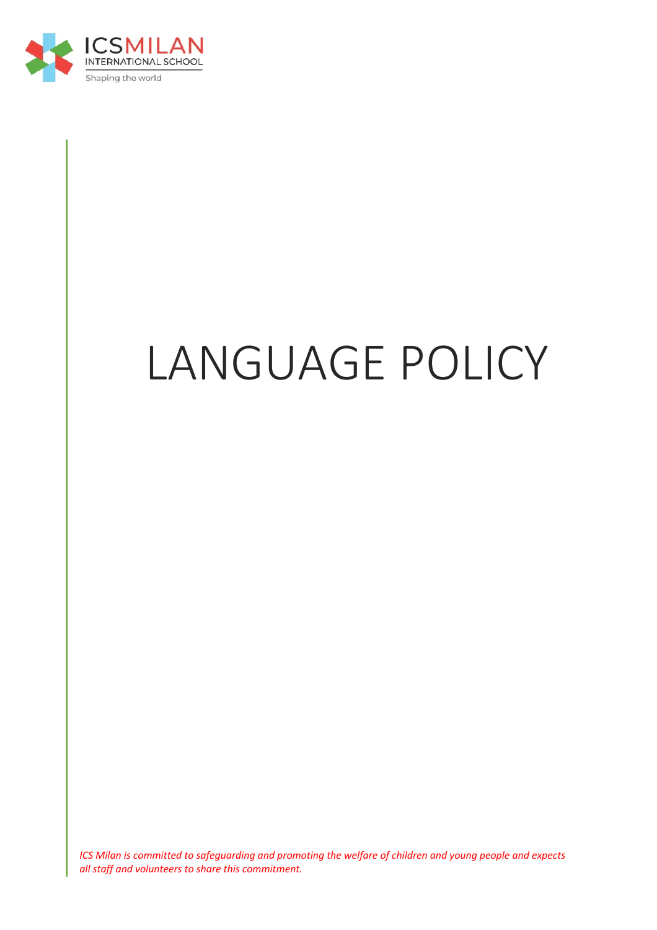

# LANGUAGE POLICY

*ICS Milan is committed to safeguarding and promoting the welfare of children and young people and expects all staff and volunteers to share this commitment.*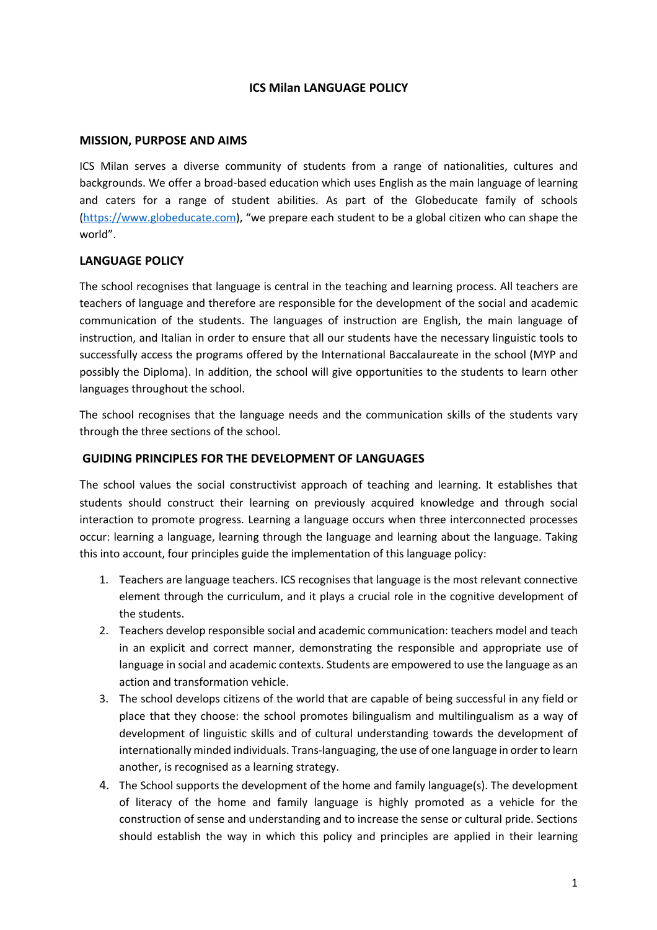#### **ICS Milan LANGUAGE POLICY**

#### **MISSION, PURPOSE AND AIMS**

ICS Milan serves a diverse community of students from a range of nationalities, cultures and backgrounds. We offer a broad-based education which uses English as the main language of learning and caters for a range of student abilities. As part of the Globeducate family of schools (https://www.globeducate.com), "we prepare each student to be a global citizen who can shape the world".

#### **LANGUAGE POLICY**

The school recognises that language is central in the teaching and learning process. All teachers are teachers of language and therefore are responsible for the development of the social and academic communication of the students. The languages of instruction are English, the main language of instruction, and Italian in order to ensure that all our students have the necessary linguistic tools to successfully access the programs offered by the International Baccalaureate in the school (MYP and possibly the Diploma). In addition, the school will give opportunities to the students to learn other languages throughout the school.

The school recognises that the language needs and the communication skills of the students vary through the three sections of the school.

#### **GUIDING PRINCIPLES FOR THE DEVELOPMENT OF LANGUAGES**

The school values the social constructivist approach of teaching and learning. It establishes that students should construct their learning on previously acquired knowledge and through social interaction to promote progress. Learning a language occurs when three interconnected processes occur: learning a language, learning through the language and learning about the language. Taking this into account, four principles guide the implementation of this language policy:

- 1. Teachers are language teachers. ICS recognises that language is the most relevant connective element through the curriculum, and it plays a crucial role in the cognitive development of the students.
- 2. Teachers develop responsible social and academic communication: teachers model and teach in an explicit and correct manner, demonstrating the responsible and appropriate use of language in social and academic contexts. Students are empowered to use the language as an action and transformation vehicle.
- 3. The school develops citizens of the world that are capable of being successful in any field or place that they choose: the school promotes bilingualism and multilingualism as a way of development of linguistic skills and of cultural understanding towards the development of internationally minded individuals. Trans-languaging, the use of one language in order to learn another, is recognised as a learning strategy.
- 4. The School supports the development of the home and family language(s). The development of literacy of the home and family language is highly promoted as a vehicle for the construction of sense and understanding and to increase the sense or cultural pride. Sections should establish the way in which this policy and principles are applied in their learning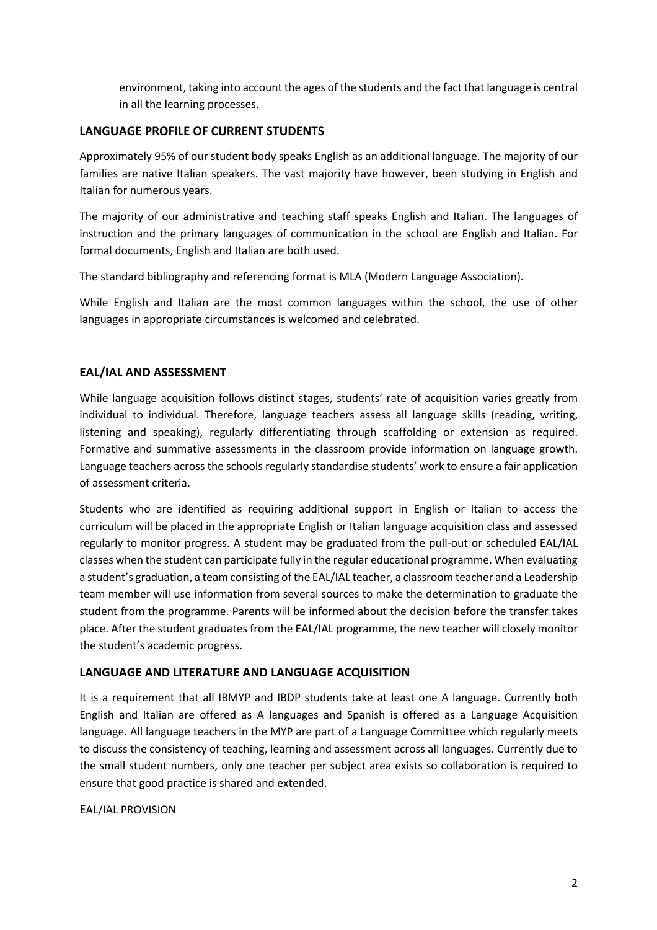environment, taking into account the ages of the students and the fact that language is central in all the learning processes.

#### **LANGUAGE PROFILE OF CURRENT STUDENTS**

Approximately 95% of our student body speaks English as an additional language. The majority of our families are native Italian speakers. The vast majority have however, been studying in English and Italian for numerous years.

The majority of our administrative and teaching staff speaks English and Italian. The languages of instruction and the primary languages of communication in the school are English and Italian. For formal documents, English and Italian are both used.

The standard bibliography and referencing format is MLA (Modern Language Association).

While English and Italian are the most common languages within the school, the use of other languages in appropriate circumstances is welcomed and celebrated.

# **EAL/IAL AND ASSESSMENT**

While language acquisition follows distinct stages, students' rate of acquisition varies greatly from individual to individual. Therefore, language teachers assess all language skills (reading, writing, listening and speaking), regularly differentiating through scaffolding or extension as required. Formative and summative assessments in the classroom provide information on language growth. Language teachers across the schools regularly standardise students' work to ensure a fair application of assessment criteria.

Students who are identified as requiring additional support in English or Italian to access the curriculum will be placed in the appropriate English or Italian language acquisition class and assessed regularly to monitor progress. A student may be graduated from the pull-out or scheduled EAL/IAL classes when the student can participate fully in the regular educational programme. When evaluating a student's graduation, a team consisting of the EAL/IAL teacher, a classroom teacher and a Leadership team member will use information from several sources to make the determination to graduate the student from the programme. Parents will be informed about the decision before the transfer takes place. After the student graduates from the EAL/IAL programme, the new teacher will closely monitor the student's academic progress.

#### **LANGUAGE AND LITERATURE AND LANGUAGE ACQUISITION**

It is a requirement that all IBMYP and IBDP students take at least one A language. Currently both English and Italian are offered as A languages and Spanish is offered as a Language Acquisition language. All language teachers in the MYP are part of a Language Committee which regularly meets to discuss the consistency of teaching, learning and assessment across all languages. Currently due to the small student numbers, only one teacher per subject area exists so collaboration is required to ensure that good practice is shared and extended.

#### EAL/IAL PROVISION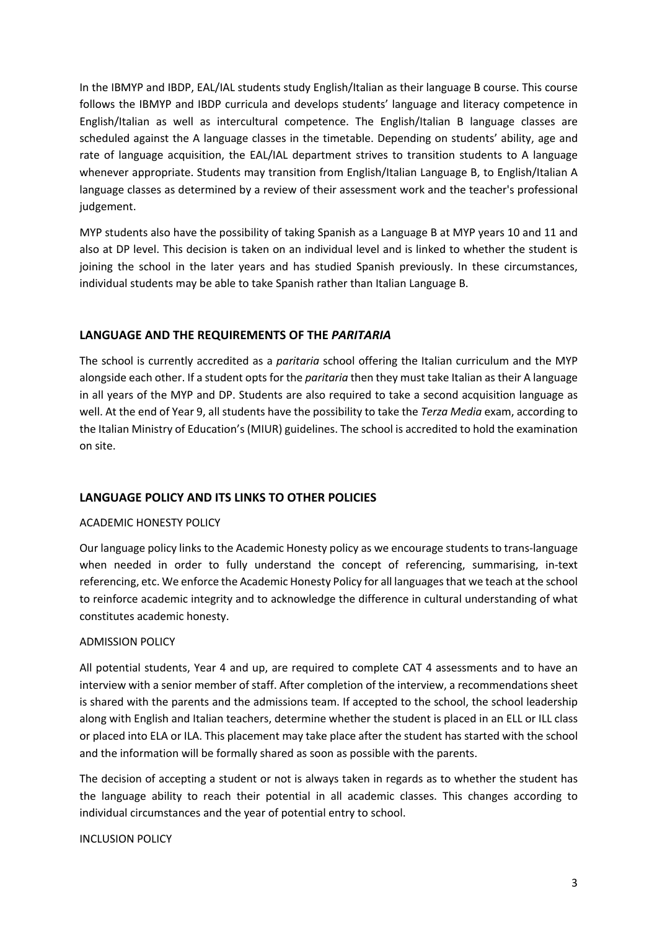In the IBMYP and IBDP, EAL/IAL students study English/Italian as their language B course. This course follows the IBMYP and IBDP curricula and develops students' language and literacy competence in English/Italian as well as intercultural competence. The English/Italian B language classes are scheduled against the A language classes in the timetable. Depending on students' ability, age and rate of language acquisition, the EAL/IAL department strives to transition students to A language whenever appropriate. Students may transition from English/Italian Language B, to English/Italian A language classes as determined by a review of their assessment work and the teacher's professional judgement.

MYP students also have the possibility of taking Spanish as a Language B at MYP years 10 and 11 and also at DP level. This decision is taken on an individual level and is linked to whether the student is joining the school in the later years and has studied Spanish previously. In these circumstances, individual students may be able to take Spanish rather than Italian Language B.

#### **LANGUAGE AND THE REQUIREMENTS OF THE** *PARITARIA*

The school is currently accredited as a *paritaria* school offering the Italian curriculum and the MYP alongside each other. If a student opts for the *paritaria* then they must take Italian as their A language in all years of the MYP and DP. Students are also required to take a second acquisition language as well. At the end of Year 9, all students have the possibility to take the *Terza Media* exam, according to the Italian Ministry of Education's (MIUR) guidelines. The school is accredited to hold the examination on site.

#### **LANGUAGE POLICY AND ITS LINKS TO OTHER POLICIES**

#### ACADEMIC HONESTY POLICY

Our language policy links to the Academic Honesty policy as we encourage students to trans-language when needed in order to fully understand the concept of referencing, summarising, in-text referencing, etc. We enforce the Academic Honesty Policy for all languages that we teach at the school to reinforce academic integrity and to acknowledge the difference in cultural understanding of what constitutes academic honesty.

#### ADMISSION POLICY

All potential students, Year 4 and up, are required to complete CAT 4 assessments and to have an interview with a senior member of staff. After completion of the interview, a recommendations sheet is shared with the parents and the admissions team. If accepted to the school, the school leadership along with English and Italian teachers, determine whether the student is placed in an ELL or ILL class or placed into ELA or ILA. This placement may take place after the student has started with the school and the information will be formally shared as soon as possible with the parents.

The decision of accepting a student or not is always taken in regards as to whether the student has the language ability to reach their potential in all academic classes. This changes according to individual circumstances and the year of potential entry to school.

#### INCLUSION POLICY